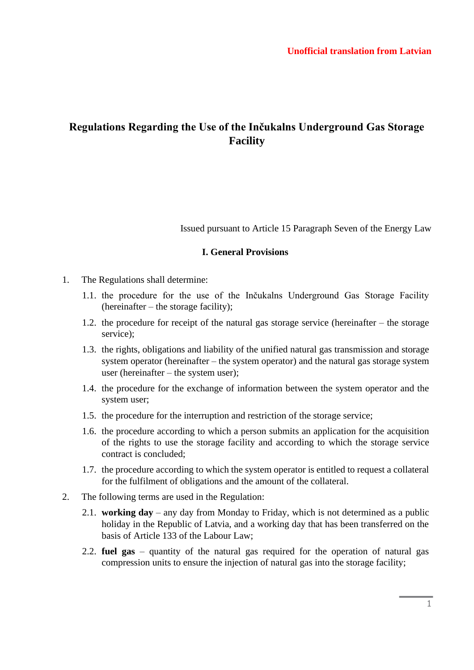# **Regulations Regarding the Use of the Inčukalns Underground Gas Storage Facility**

Issued pursuant to Article 15 Paragraph Seven of the Energy Law

#### **I. General Provisions**

- 1. The Regulations shall determine:
	- 1.1. the procedure for the use of the Inčukalns Underground Gas Storage Facility (hereinafter – the storage facility);
	- 1.2. the procedure for receipt of the natural gas storage service (hereinafter the storage service);
	- 1.3. the rights, obligations and liability of the unified natural gas transmission and storage system operator (hereinafter – the system operator) and the natural gas storage system user (hereinafter – the system user);
	- 1.4. the procedure for the exchange of information between the system operator and the system user;
	- 1.5. the procedure for the interruption and restriction of the storage service;
	- 1.6. the procedure according to which a person submits an application for the acquisition of the rights to use the storage facility and according to which the storage service contract is concluded;
	- 1.7. the procedure according to which the system operator is entitled to request a collateral for the fulfilment of obligations and the amount of the collateral.
- 2. The following terms are used in the Regulation:
	- 2.1. **working day**  any day from Monday to Friday, which is not determined as a public holiday in the Republic of Latvia, and a working day that has been transferred on the basis of Article 133 of the Labour Law;
	- 2.2. **fuel gas**  quantity of the natural gas required for the operation of natural gas compression units to ensure the injection of natural gas into the storage facility;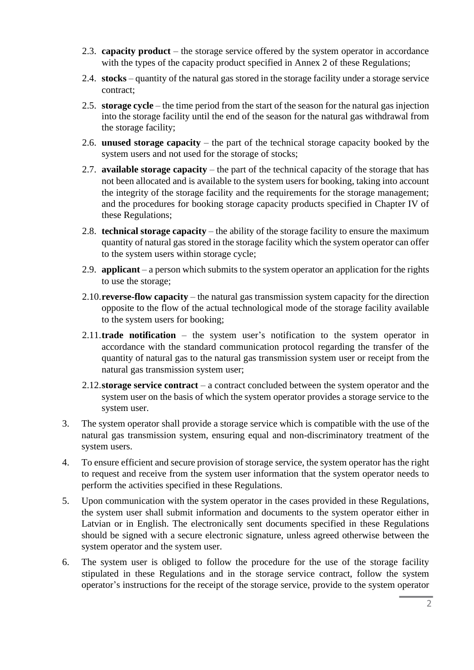- 2.3. **capacity product**  the storage service offered by the system operator in accordance with the types of the capacity product specified in Annex 2 of these Regulations;
- 2.4. **stocks**  quantity of the natural gas stored in the storage facility under a storage service contract;
- 2.5. **storage cycle**  the time period from the start of the season for the natural gas injection into the storage facility until the end of the season for the natural gas withdrawal from the storage facility;
- 2.6. **unused storage capacity**  the part of the technical storage capacity booked by the system users and not used for the storage of stocks;
- 2.7. **available storage capacity** the part of the technical capacity of the storage that has not been allocated and is available to the system users for booking, taking into account the integrity of the storage facility and the requirements for the storage management; and the procedures for booking storage capacity products specified in Chapter IV of these Regulations;
- 2.8. **technical storage capacity** the ability of the storage facility to ensure the maximum quantity of natural gas stored in the storage facility which the system operator can offer to the system users within storage cycle;
- 2.9. **applicant**  a person which submits to the system operator an application for the rights to use the storage;
- 2.10.**reverse-flow capacity**  the natural gas transmission system capacity for the direction opposite to the flow of the actual technological mode of the storage facility available to the system users for booking;
- 2.11.**trade notification**  the system user's notification to the system operator in accordance with the standard communication protocol regarding the transfer of the quantity of natural gas to the natural gas transmission system user or receipt from the natural gas transmission system user;
- 2.12.**storage service contract**  a contract concluded between the system operator and the system user on the basis of which the system operator provides a storage service to the system user.
- 3. The system operator shall provide a storage service which is compatible with the use of the natural gas transmission system, ensuring equal and non-discriminatory treatment of the system users.
- 4. To ensure efficient and secure provision of storage service, the system operator has the right to request and receive from the system user information that the system operator needs to perform the activities specified in these Regulations.
- 5. Upon communication with the system operator in the cases provided in these Regulations, the system user shall submit information and documents to the system operator either in Latvian or in English. The electronically sent documents specified in these Regulations should be signed with a secure electronic signature, unless agreed otherwise between the system operator and the system user.
- 6. The system user is obliged to follow the procedure for the use of the storage facility stipulated in these Regulations and in the storage service contract, follow the system operator's instructions for the receipt of the storage service, provide to the system operator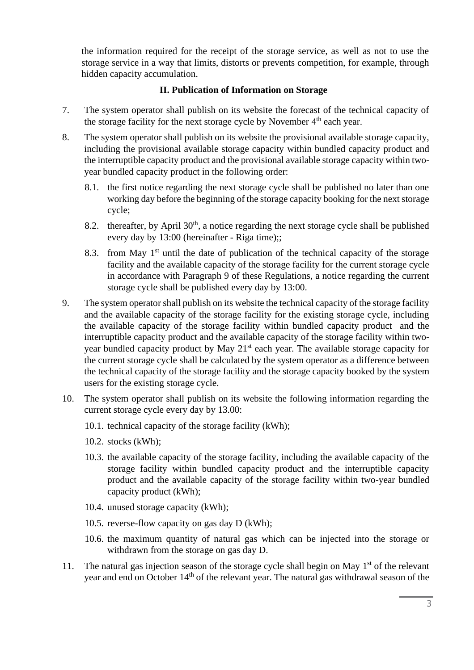the information required for the receipt of the storage service, as well as not to use the storage service in a way that limits, distorts or prevents competition, for example, through hidden capacity accumulation.

### **II. Publication of Information on Storage**

- 7. The system operator shall publish on its website the forecast of the technical capacity of the storage facility for the next storage cycle by November 4<sup>th</sup> each year.
- 8. The system operator shall publish on its website the provisional available storage capacity, including the provisional available storage capacity within bundled capacity product and the interruptible capacity product and the provisional available storage capacity within twoyear bundled capacity product in the following order:
	- 8.1. the first notice regarding the next storage cycle shall be published no later than one working day before the beginning of the storage capacity booking for the next storage cycle;
	- 8.2. thereafter, by April  $30<sup>th</sup>$ , a notice regarding the next storage cycle shall be published every day by 13:00 (hereinafter - Riga time);;
	- 8.3. from May  $1<sup>st</sup>$  until the date of publication of the technical capacity of the storage facility and the available capacity of the storage facility for the current storage cycle in accordance with Paragraph 9 of these Regulations, a notice regarding the current storage cycle shall be published every day by 13:00.
- 9. The system operator shall publish on its website the technical capacity of the storage facility and the available capacity of the storage facility for the existing storage cycle, including the available capacity of the storage facility within bundled capacity product and the interruptible capacity product and the available capacity of the storage facility within twoyear bundled capacity product by May 21<sup>st</sup> each year. The available storage capacity for the current storage cycle shall be calculated by the system operator as a difference between the technical capacity of the storage facility and the storage capacity booked by the system users for the existing storage cycle.
- 10. The system operator shall publish on its website the following information regarding the current storage cycle every day by 13.00:
	- 10.1. technical capacity of the storage facility (kWh);
	- 10.2. stocks (kWh);
	- 10.3. the available capacity of the storage facility, including the available capacity of the storage facility within bundled capacity product and the interruptible capacity product and the available capacity of the storage facility within two-year bundled capacity product (kWh);
	- 10.4. unused storage capacity (kWh);
	- 10.5. reverse-flow capacity on gas day D (kWh);
	- 10.6. the maximum quantity of natural gas which can be injected into the storage or withdrawn from the storage on gas day D.
- 11. The natural gas injection season of the storage cycle shall begin on May  $1<sup>st</sup>$  of the relevant year and end on October 14<sup>th</sup> of the relevant year. The natural gas withdrawal season of the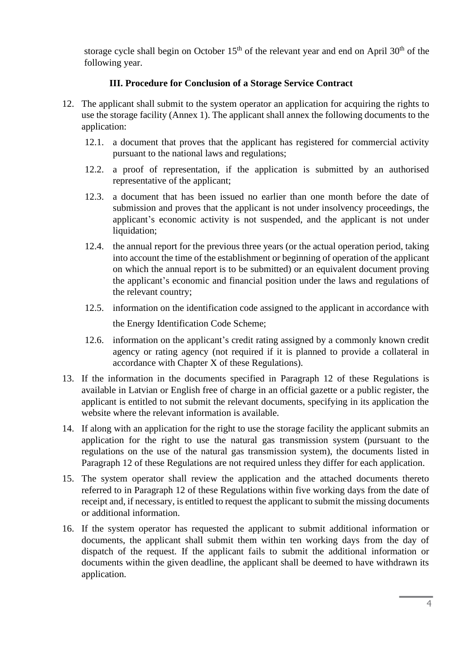storage cycle shall begin on October  $15<sup>th</sup>$  of the relevant year and end on April 30<sup>th</sup> of the following year.

### **III. Procedure for Conclusion of a Storage Service Contract**

- 12. The applicant shall submit to the system operator an application for acquiring the rights to use the storage facility (Annex 1). The applicant shall annex the following documents to the application:
	- 12.1. a document that proves that the applicant has registered for commercial activity pursuant to the national laws and regulations;
	- 12.2. a proof of representation, if the application is submitted by an authorised representative of the applicant;
	- 12.3. a document that has been issued no earlier than one month before the date of submission and proves that the applicant is not under insolvency proceedings, the applicant's economic activity is not suspended, and the applicant is not under liquidation;
	- 12.4. the annual report for the previous three years (or the actual operation period, taking into account the time of the establishment or beginning of operation of the applicant on which the annual report is to be submitted) or an equivalent document proving the applicant's economic and financial position under the laws and regulations of the relevant country;
	- 12.5. information on the identification code assigned to the applicant in accordance with the Energy Identification Code Scheme;
	- 12.6. information on the applicant's credit rating assigned by a commonly known credit agency or rating agency (not required if it is planned to provide a collateral in accordance with Chapter X of these Regulations).
- 13. If the information in the documents specified in Paragraph 12 of these Regulations is available in Latvian or English free of charge in an official gazette or a public register, the applicant is entitled to not submit the relevant documents, specifying in its application the website where the relevant information is available.
- 14. If along with an application for the right to use the storage facility the applicant submits an application for the right to use the natural gas transmission system (pursuant to the regulations on the use of the natural gas transmission system), the documents listed in Paragraph 12 of these Regulations are not required unless they differ for each application.
- 15. The system operator shall review the application and the attached documents thereto referred to in Paragraph 12 of these Regulations within five working days from the date of receipt and, if necessary, is entitled to request the applicant to submit the missing documents or additional information.
- 16. If the system operator has requested the applicant to submit additional information or documents, the applicant shall submit them within ten working days from the day of dispatch of the request. If the applicant fails to submit the additional information or documents within the given deadline, the applicant shall be deemed to have withdrawn its application.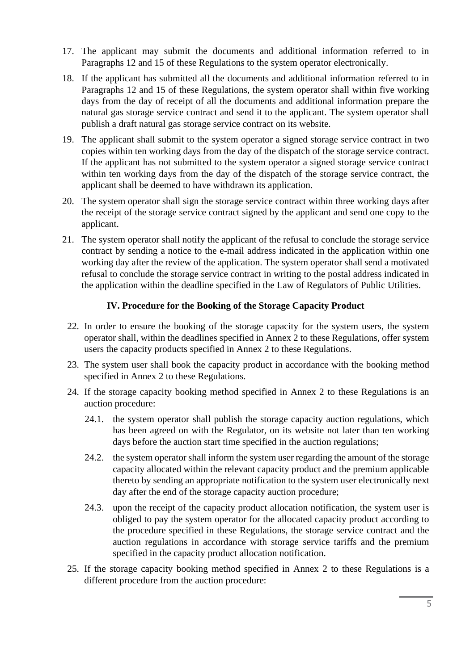- 17. The applicant may submit the documents and additional information referred to in Paragraphs 12 and 15 of these Regulations to the system operator electronically.
- 18. If the applicant has submitted all the documents and additional information referred to in Paragraphs 12 and 15 of these Regulations, the system operator shall within five working days from the day of receipt of all the documents and additional information prepare the natural gas storage service contract and send it to the applicant. The system operator shall publish a draft natural gas storage service contract on its website.
- 19. The applicant shall submit to the system operator a signed storage service contract in two copies within ten working days from the day of the dispatch of the storage service contract. If the applicant has not submitted to the system operator a signed storage service contract within ten working days from the day of the dispatch of the storage service contract, the applicant shall be deemed to have withdrawn its application.
- 20. The system operator shall sign the storage service contract within three working days after the receipt of the storage service contract signed by the applicant and send one copy to the applicant.
- 21. The system operator shall notify the applicant of the refusal to conclude the storage service contract by sending a notice to the e-mail address indicated in the application within one working day after the review of the application. The system operator shall send a motivated refusal to conclude the storage service contract in writing to the postal address indicated in the application within the deadline specified in the Law of Regulators of Public Utilities.

#### **IV. Procedure for the Booking of the Storage Capacity Product**

- 22. In order to ensure the booking of the storage capacity for the system users, the system operator shall, within the deadlines specified in Annex 2 to these Regulations, offer system users the capacity products specified in Annex 2 to these Regulations.
- 23. The system user shall book the capacity product in accordance with the booking method specified in Annex 2 to these Regulations.
- 24. If the storage capacity booking method specified in Annex 2 to these Regulations is an auction procedure:
	- 24.1. the system operator shall publish the storage capacity auction regulations, which has been agreed on with the Regulator, on its website not later than ten working days before the auction start time specified in the auction regulations;
	- 24.2. the system operator shall inform the system user regarding the amount of the storage capacity allocated within the relevant capacity product and the premium applicable thereto by sending an appropriate notification to the system user electronically next day after the end of the storage capacity auction procedure;
	- 24.3. upon the receipt of the capacity product allocation notification, the system user is obliged to pay the system operator for the allocated capacity product according to the procedure specified in these Regulations, the storage service contract and the auction regulations in accordance with storage service tariffs and the premium specified in the capacity product allocation notification.
- 25. If the storage capacity booking method specified in Annex 2 to these Regulations is a different procedure from the auction procedure: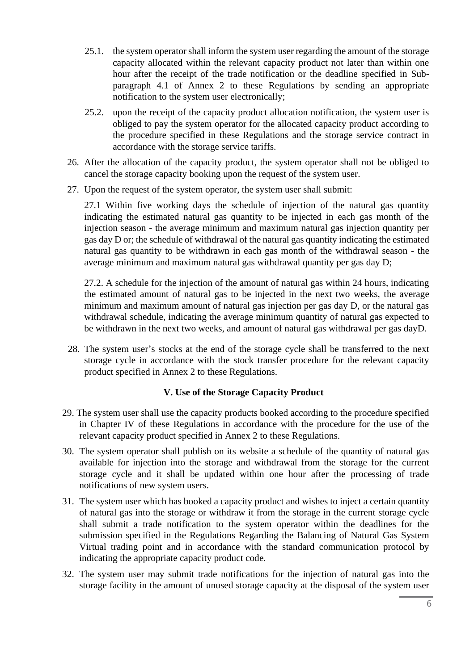- 25.1. the system operator shall inform the system user regarding the amount of the storage capacity allocated within the relevant capacity product not later than within one hour after the receipt of the trade notification or the deadline specified in Subparagraph 4.1 of Annex 2 to these Regulations by sending an appropriate notification to the system user electronically;
- 25.2. upon the receipt of the capacity product allocation notification, the system user is obliged to pay the system operator for the allocated capacity product according to the procedure specified in these Regulations and the storage service contract in accordance with the storage service tariffs.
- 26. After the allocation of the capacity product, the system operator shall not be obliged to cancel the storage capacity booking upon the request of the system user.
- 27. Upon the request of the system operator, the system user shall submit:

27.1 Within five working days the schedule of injection of the natural gas quantity indicating the estimated natural gas quantity to be injected in each gas month of the injection season - the average minimum and maximum natural gas injection quantity per gas day D or; the schedule of withdrawal of the natural gas quantity indicating the estimated natural gas quantity to be withdrawn in each gas month of the withdrawal season - the average minimum and maximum natural gas withdrawal quantity per gas day D;

27.2. A schedule for the injection of the amount of natural gas within 24 hours, indicating the estimated amount of natural gas to be injected in the next two weeks, the average minimum and maximum amount of natural gas injection per gas day D, or the natural gas withdrawal schedule, indicating the average minimum quantity of natural gas expected to be withdrawn in the next two weeks, and amount of natural gas withdrawal per gas dayD.

28. The system user's stocks at the end of the storage cycle shall be transferred to the next storage cycle in accordance with the stock transfer procedure for the relevant capacity product specified in Annex 2 to these Regulations.

### **V. Use of the Storage Capacity Product**

- 29. The system user shall use the capacity products booked according to the procedure specified in Chapter IV of these Regulations in accordance with the procedure for the use of the relevant capacity product specified in Annex 2 to these Regulations.
- 30. The system operator shall publish on its website a schedule of the quantity of natural gas available for injection into the storage and withdrawal from the storage for the current storage cycle and it shall be updated within one hour after the processing of trade notifications of new system users.
- 31. The system user which has booked a capacity product and wishes to inject a certain quantity of natural gas into the storage or withdraw it from the storage in the current storage cycle shall submit a trade notification to the system operator within the deadlines for the submission specified in the Regulations Regarding the Balancing of Natural Gas System Virtual trading point and in accordance with the standard communication protocol by indicating the appropriate capacity product code.
- 32. The system user may submit trade notifications for the injection of natural gas into the storage facility in the amount of unused storage capacity at the disposal of the system user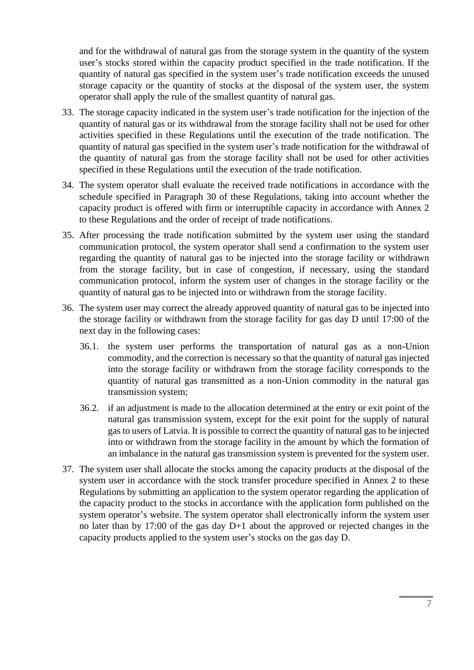and for the withdrawal of natural gas from the storage system in the quantity of the system user's stocks stored within the capacity product specified in the trade notification. If the quantity of natural gas specified in the system user's trade notification exceeds the unused storage capacity or the quantity of stocks at the disposal of the system user, the system operator shall apply the rule of the smallest quantity of natural gas.

- 33. The storage capacity indicated in the system user's trade notification for the injection of the quantity of natural gas or its withdrawal from the storage facility shall not be used for other activities specified in these Regulations until the execution of the trade notification. The quantity of natural gas specified in the system user's trade notification for the withdrawal of the quantity of natural gas from the storage facility shall not be used for other activities specified in these Regulations until the execution of the trade notification.
- 34. The system operator shall evaluate the received trade notifications in accordance with the schedule specified in Paragraph 30 of these Regulations, taking into account whether the capacity product is offered with firm or interruptible capacity in accordance with Annex 2 to these Regulations and the order of receipt of trade notifications.
- 35. After processing the trade notification submitted by the system user using the standard communication protocol, the system operator shall send a confirmation to the system user regarding the quantity of natural gas to be injected into the storage facility or withdrawn from the storage facility, but in case of congestion, if necessary, using the standard communication protocol, inform the system user of changes in the storage facility or the quantity of natural gas to be injected into or withdrawn from the storage facility.
- 36. The system user may correct the already approved quantity of natural gas to be injected into the storage facility or withdrawn from the storage facility for gas day D until 17:00 of the next day in the following cases:
	- 36.1. the system user performs the transportation of natural gas as a non-Union commodity, and the correction is necessary so that the quantity of natural gas injected into the storage facility or withdrawn from the storage facility corresponds to the quantity of natural gas transmitted as a non-Union commodity in the natural gas transmission system;
	- 36.2. if an adjustment is made to the allocation determined at the entry or exit point of the natural gas transmission system, except for the exit point for the supply of natural gas to users of Latvia. It is possible to correct the quantity of natural gas to be injected into or withdrawn from the storage facility in the amount by which the formation of an imbalance in the natural gas transmission system is prevented for the system user.
- 37. The system user shall allocate the stocks among the capacity products at the disposal of the system user in accordance with the stock transfer procedure specified in Annex 2 to these Regulations by submitting an application to the system operator regarding the application of the capacity product to the stocks in accordance with the application form published on the system operator's website. The system operator shall electronically inform the system user no later than by 17:00 of the gas day D+1 about the approved or rejected changes in the capacity products applied to the system user's stocks on the gas day D.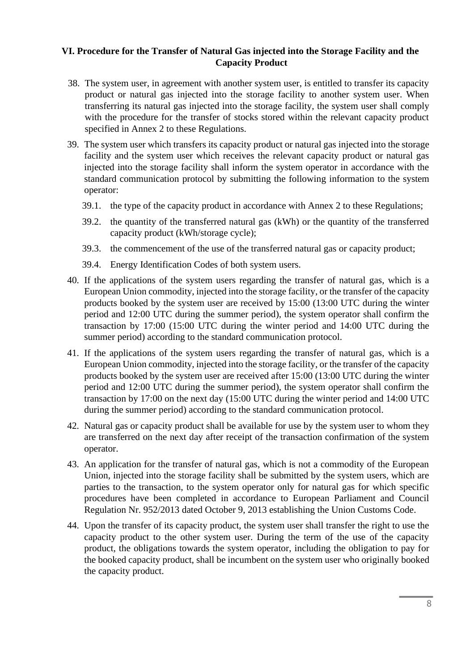#### **VI. Procedure for the Transfer of Natural Gas injected into the Storage Facility and the Capacity Product**

- 38. The system user, in agreement with another system user, is entitled to transfer its capacity product or natural gas injected into the storage facility to another system user. When transferring its natural gas injected into the storage facility, the system user shall comply with the procedure for the transfer of stocks stored within the relevant capacity product specified in Annex 2 to these Regulations.
- 39. The system user which transfers its capacity product or natural gas injected into the storage facility and the system user which receives the relevant capacity product or natural gas injected into the storage facility shall inform the system operator in accordance with the standard communication protocol by submitting the following information to the system operator:
	- 39.1. the type of the capacity product in accordance with Annex 2 to these Regulations;
	- 39.2. the quantity of the transferred natural gas (kWh) or the quantity of the transferred capacity product (kWh/storage cycle);
	- 39.3. the commencement of the use of the transferred natural gas or capacity product;
	- 39.4. Energy Identification Codes of both system users.
- 40. If the applications of the system users regarding the transfer of natural gas, which is a European Union commodity, injected into the storage facility, or the transfer of the capacity products booked by the system user are received by 15:00 (13:00 UTC during the winter period and 12:00 UTC during the summer period), the system operator shall confirm the transaction by 17:00 (15:00 UTC during the winter period and 14:00 UTC during the summer period) according to the standard communication protocol.
- 41. If the applications of the system users regarding the transfer of natural gas, which is a European Union commodity, injected into the storage facility, or the transfer of the capacity products booked by the system user are received after 15:00 (13:00 UTC during the winter period and 12:00 UTC during the summer period), the system operator shall confirm the transaction by 17:00 on the next day (15:00 UTC during the winter period and 14:00 UTC during the summer period) according to the standard communication protocol.
- 42. Natural gas or capacity product shall be available for use by the system user to whom they are transferred on the next day after receipt of the transaction confirmation of the system operator.
- 43. An application for the transfer of natural gas, which is not a commodity of the European Union, injected into the storage facility shall be submitted by the system users, which are parties to the transaction, to the system operator only for natural gas for which specific procedures have been completed in accordance to European Parliament and Council Regulation Nr. 952/2013 dated October 9, 2013 establishing the Union Customs Code.
- 44. Upon the transfer of its capacity product, the system user shall transfer the right to use the capacity product to the other system user. During the term of the use of the capacity product, the obligations towards the system operator, including the obligation to pay for the booked capacity product, shall be incumbent on the system user who originally booked the capacity product.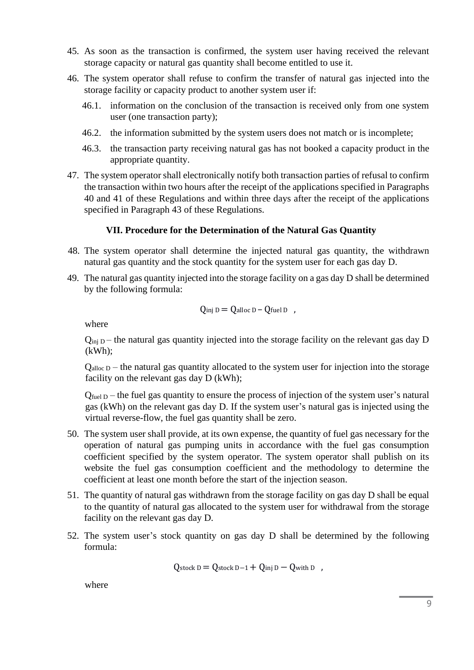- 45. As soon as the transaction is confirmed, the system user having received the relevant storage capacity or natural gas quantity shall become entitled to use it.
- 46. The system operator shall refuse to confirm the transfer of natural gas injected into the storage facility or capacity product to another system user if:
	- 46.1. information on the conclusion of the transaction is received only from one system user (one transaction party);
	- 46.2. the information submitted by the system users does not match or is incomplete;
	- 46.3. the transaction party receiving natural gas has not booked a capacity product in the appropriate quantity.
- 47. The system operator shall electronically notify both transaction parties of refusal to confirm the transaction within two hours after the receipt of the applications specified in Paragraphs 40 and 41 of these Regulations and within three days after the receipt of the applications specified in Paragraph 43 of these Regulations.

#### **VII. Procedure for the Determination of the Natural Gas Quantity**

- 48. The system operator shall determine the injected natural gas quantity, the withdrawn natural gas quantity and the stock quantity for the system user for each gas day D.
- 49. The natural gas quantity injected into the storage facility on a gas day D shall be determined by the following formula:

$$
Q_{\text{inj }D} = Q_{\text{alloc }D} - Q_{\text{fuel }D} ,
$$

where

 $Q_{\text{inj D}}$  – the natural gas quantity injected into the storage facility on the relevant gas day D (kWh);

 $Q<sub>alloc D</sub> - the natural gas quantity allocated to the system user for injection into the storage$ facility on the relevant gas day D (kWh);

 $Q_{fuel\,D}$  – the fuel gas quantity to ensure the process of injection of the system user's natural gas (kWh) on the relevant gas day D. If the system user's natural gas is injected using the virtual reverse-flow, the fuel gas quantity shall be zero.

- 50. The system user shall provide, at its own expense, the quantity of fuel gas necessary for the operation of natural gas pumping units in accordance with the fuel gas consumption coefficient specified by the system operator. The system operator shall publish on its website the fuel gas consumption coefficient and the methodology to determine the coefficient at least one month before the start of the injection season.
- 51. The quantity of natural gas withdrawn from the storage facility on gas day D shall be equal to the quantity of natural gas allocated to the system user for withdrawal from the storage facility on the relevant gas day D.
- 52. The system user's stock quantity on gas day D shall be determined by the following formula:

$$
Q_{\text{stock D}} = Q_{\text{stock D-1}} + Q_{\text{inj D}} - Q_{\text{with D}}
$$

where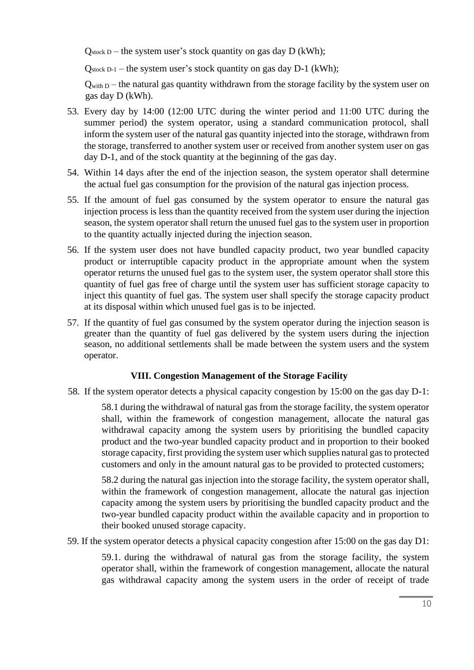$Q_{stock\ D}$  – the system user's stock quantity on gas day  $D$  (kWh);

 $Q_{\text{stock D-1}}$  – the system user's stock quantity on gas day D-1 (kWh);

 $Q_{\text{with }D}$  – the natural gas quantity withdrawn from the storage facility by the system user on gas day D (kWh).

- 53. Every day by 14:00 (12:00 UTC during the winter period and 11:00 UTC during the summer period) the system operator, using a standard communication protocol, shall inform the system user of the natural gas quantity injected into the storage, withdrawn from the storage, transferred to another system user or received from another system user on gas day D-1, and of the stock quantity at the beginning of the gas day.
- 54. Within 14 days after the end of the injection season, the system operator shall determine the actual fuel gas consumption for the provision of the natural gas injection process.
- 55. If the amount of fuel gas consumed by the system operator to ensure the natural gas injection process is less than the quantity received from the system user during the injection season, the system operator shall return the unused fuel gas to the system user in proportion to the quantity actually injected during the injection season.
- 56. If the system user does not have bundled capacity product, two year bundled capacity product or interruptible capacity product in the appropriate amount when the system operator returns the unused fuel gas to the system user, the system operator shall store this quantity of fuel gas free of charge until the system user has sufficient storage capacity to inject this quantity of fuel gas. The system user shall specify the storage capacity product at its disposal within which unused fuel gas is to be injected.
- 57. If the quantity of fuel gas consumed by the system operator during the injection season is greater than the quantity of fuel gas delivered by the system users during the injection season, no additional settlements shall be made between the system users and the system operator.

### **VIII. Congestion Management of the Storage Facility**

58. If the system operator detects a physical capacity congestion by 15:00 on the gas day D-1:

58.1 during the withdrawal of natural gas from the storage facility, the system operator shall, within the framework of congestion management, allocate the natural gas withdrawal capacity among the system users by prioritising the bundled capacity product and the two-year bundled capacity product and in proportion to their booked storage capacity, first providing the system user which supplies natural gas to protected customers and only in the amount natural gas to be provided to protected customers;

58.2 during the natural gas injection into the storage facility, the system operator shall, within the framework of congestion management, allocate the natural gas injection capacity among the system users by prioritising the bundled capacity product and the two-year bundled capacity product within the available capacity and in proportion to their booked unused storage capacity.

59. If the system operator detects a physical capacity congestion after 15:00 on the gas day D1:

59.1. during the withdrawal of natural gas from the storage facility, the system operator shall, within the framework of congestion management, allocate the natural gas withdrawal capacity among the system users in the order of receipt of trade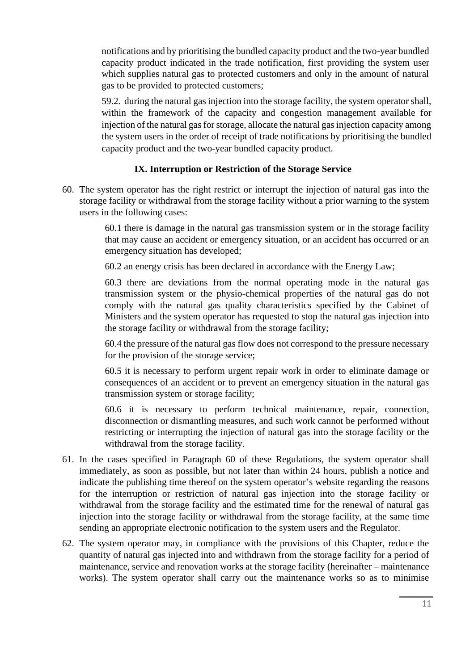notifications and by prioritising the bundled capacity product and the two-year bundled capacity product indicated in the trade notification, first providing the system user which supplies natural gas to protected customers and only in the amount of natural gas to be provided to protected customers;

59.2. during the natural gas injection into the storage facility, the system operator shall, within the framework of the capacity and congestion management available for injection of the natural gas for storage, allocate the natural gas injection capacity among the system users in the order of receipt of trade notifications by prioritising the bundled capacity product and the two-year bundled capacity product.

#### **IX. Interruption or Restriction of the Storage Service**

60. The system operator has the right restrict or interrupt the injection of natural gas into the storage facility or withdrawal from the storage facility without a prior warning to the system users in the following cases:

> 60.1 there is damage in the natural gas transmission system or in the storage facility that may cause an accident or emergency situation, or an accident has occurred or an emergency situation has developed;

60.2 an energy crisis has been declared in accordance with the Energy Law;

60.3 there are deviations from the normal operating mode in the natural gas transmission system or the physio-chemical properties of the natural gas do not comply with the natural gas quality characteristics specified by the Cabinet of Ministers and the system operator has requested to stop the natural gas injection into the storage facility or withdrawal from the storage facility;

60.4 the pressure of the natural gas flow does not correspond to the pressure necessary for the provision of the storage service;

60.5 it is necessary to perform urgent repair work in order to eliminate damage or consequences of an accident or to prevent an emergency situation in the natural gas transmission system or storage facility;

60.6 it is necessary to perform technical maintenance, repair, connection, disconnection or dismantling measures, and such work cannot be performed without restricting or interrupting the injection of natural gas into the storage facility or the withdrawal from the storage facility.

- 61. In the cases specified in Paragraph 60 of these Regulations, the system operator shall immediately, as soon as possible, but not later than within 24 hours, publish a notice and indicate the publishing time thereof on the system operator's website regarding the reasons for the interruption or restriction of natural gas injection into the storage facility or withdrawal from the storage facility and the estimated time for the renewal of natural gas injection into the storage facility or withdrawal from the storage facility, at the same time sending an appropriate electronic notification to the system users and the Regulator.
- 62. The system operator may, in compliance with the provisions of this Chapter, reduce the quantity of natural gas injected into and withdrawn from the storage facility for a period of maintenance, service and renovation works at the storage facility (hereinafter – maintenance works). The system operator shall carry out the maintenance works so as to minimise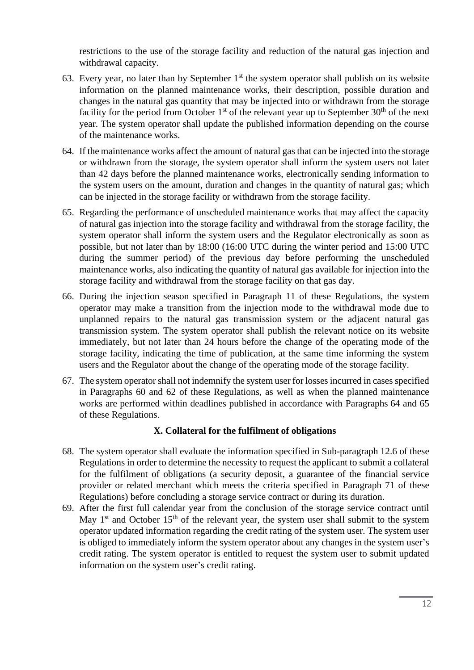restrictions to the use of the storage facility and reduction of the natural gas injection and withdrawal capacity.

- 63. Every year, no later than by September  $1<sup>st</sup>$  the system operator shall publish on its website information on the planned maintenance works, their description, possible duration and changes in the natural gas quantity that may be injected into or withdrawn from the storage facility for the period from October  $1<sup>st</sup>$  of the relevant year up to September  $30<sup>th</sup>$  of the next year. The system operator shall update the published information depending on the course of the maintenance works.
- 64. If the maintenance works affect the amount of natural gas that can be injected into the storage or withdrawn from the storage, the system operator shall inform the system users not later than 42 days before the planned maintenance works, electronically sending information to the system users on the amount, duration and changes in the quantity of natural gas; which can be injected in the storage facility or withdrawn from the storage facility.
- 65. Regarding the performance of unscheduled maintenance works that may affect the capacity of natural gas injection into the storage facility and withdrawal from the storage facility, the system operator shall inform the system users and the Regulator electronically as soon as possible, but not later than by 18:00 (16:00 UTC during the winter period and 15:00 UTC during the summer period) of the previous day before performing the unscheduled maintenance works, also indicating the quantity of natural gas available for injection into the storage facility and withdrawal from the storage facility on that gas day.
- 66. During the injection season specified in Paragraph 11 of these Regulations, the system operator may make a transition from the injection mode to the withdrawal mode due to unplanned repairs to the natural gas transmission system or the adjacent natural gas transmission system. The system operator shall publish the relevant notice on its website immediately, but not later than 24 hours before the change of the operating mode of the storage facility, indicating the time of publication, at the same time informing the system users and the Regulator about the change of the operating mode of the storage facility.
- 67. The system operator shall not indemnify the system user for losses incurred in cases specified in Paragraphs 60 and 62 of these Regulations, as well as when the planned maintenance works are performed within deadlines published in accordance with Paragraphs 64 and 65 of these Regulations.

#### **X. Collateral for the fulfilment of obligations**

- 68. The system operator shall evaluate the information specified in Sub-paragraph 12.6 of these Regulations in order to determine the necessity to request the applicant to submit a collateral for the fulfilment of obligations (a security deposit, a guarantee of the financial service provider or related merchant which meets the criteria specified in Paragraph 71 of these Regulations) before concluding a storage service contract or during its duration.
- 69. After the first full calendar year from the conclusion of the storage service contract until May  $1<sup>st</sup>$  and October  $15<sup>th</sup>$  of the relevant year, the system user shall submit to the system operator updated information regarding the credit rating of the system user. The system user is obliged to immediately inform the system operator about any changes in the system user's credit rating. The system operator is entitled to request the system user to submit updated information on the system user's credit rating.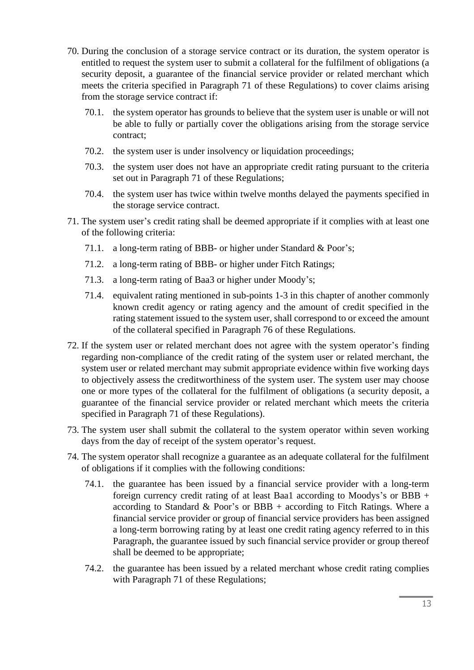- 70. During the conclusion of a storage service contract or its duration, the system operator is entitled to request the system user to submit a collateral for the fulfilment of obligations (a security deposit, a guarantee of the financial service provider or related merchant which meets the criteria specified in Paragraph 71 of these Regulations) to cover claims arising from the storage service contract if:
	- 70.1. the system operator has grounds to believe that the system user is unable or will not be able to fully or partially cover the obligations arising from the storage service contract;
	- 70.2. the system user is under insolvency or liquidation proceedings;
	- 70.3. the system user does not have an appropriate credit rating pursuant to the criteria set out in Paragraph 71 of these Regulations;
	- 70.4. the system user has twice within twelve months delayed the payments specified in the storage service contract.
- 71. The system user's credit rating shall be deemed appropriate if it complies with at least one of the following criteria:
	- 71.1. a long-term rating of BBB- or higher under Standard & Poor's;
	- 71.2. a long-term rating of BBB- or higher under Fitch Ratings;
	- 71.3. a long-term rating of Baa3 or higher under Moody's;
	- 71.4. equivalent rating mentioned in sub-points 1-3 in this chapter of another commonly known credit agency or rating agency and the amount of credit specified in the rating statement issued to the system user, shall correspond to or exceed the amount of the collateral specified in Paragraph 76 of these Regulations.
- 72. If the system user or related merchant does not agree with the system operator's finding regarding non-compliance of the credit rating of the system user or related merchant, the system user or related merchant may submit appropriate evidence within five working days to objectively assess the creditworthiness of the system user. The system user may choose one or more types of the collateral for the fulfilment of obligations (a security deposit, a guarantee of the financial service provider or related merchant which meets the criteria specified in Paragraph 71 of these Regulations).
- 73. The system user shall submit the collateral to the system operator within seven working days from the day of receipt of the system operator's request.
- 74. The system operator shall recognize a guarantee as an adequate collateral for the fulfilment of obligations if it complies with the following conditions:
	- 74.1. the guarantee has been issued by a financial service provider with a long-term foreign currency credit rating of at least Baa1 according to Moodys's or BBB + according to Standard & Poor's or BBB + according to Fitch Ratings. Where a financial service provider or group of financial service providers has been assigned a long-term borrowing rating by at least one credit rating agency referred to in this Paragraph, the guarantee issued by such financial service provider or group thereof shall be deemed to be appropriate;
	- 74.2. the guarantee has been issued by a related merchant whose credit rating complies with Paragraph 71 of these Regulations;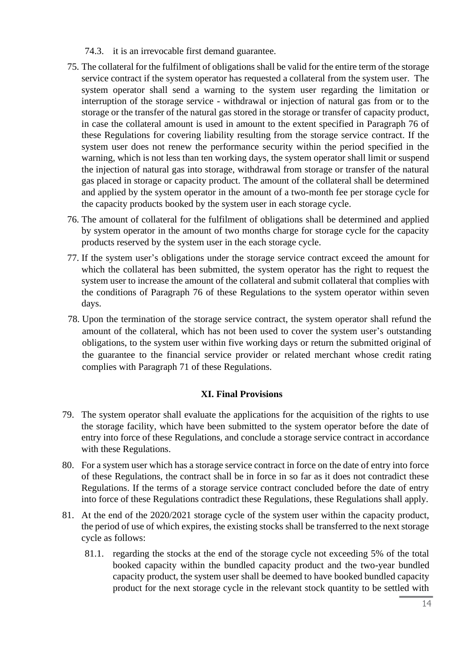- 74.3. it is an irrevocable first demand guarantee.
- 75. The collateral for the fulfilment of obligations shall be valid for the entire term of the storage service contract if the system operator has requested a collateral from the system user. The system operator shall send a warning to the system user regarding the limitation or interruption of the storage service - withdrawal or injection of natural gas from or to the storage or the transfer of the natural gas stored in the storage or transfer of capacity product, in case the collateral amount is used in amount to the extent specified in Paragraph 76 of these Regulations for covering liability resulting from the storage service contract. If the system user does not renew the performance security within the period specified in the warning, which is not less than ten working days, the system operator shall limit or suspend the injection of natural gas into storage, withdrawal from storage or transfer of the natural gas placed in storage or capacity product. The amount of the collateral shall be determined and applied by the system operator in the amount of a two-month fee per storage cycle for the capacity products booked by the system user in each storage cycle.
- 76. The amount of collateral for the fulfilment of obligations shall be determined and applied by system operator in the amount of two months charge for storage cycle for the capacity products reserved by the system user in the each storage cycle.
- 77. If the system user's obligations under the storage service contract exceed the amount for which the collateral has been submitted, the system operator has the right to request the system user to increase the amount of the collateral and submit collateral that complies with the conditions of Paragraph 76 of these Regulations to the system operator within seven days.
- 78. Upon the termination of the storage service contract, the system operator shall refund the amount of the collateral, which has not been used to cover the system user's outstanding obligations, to the system user within five working days or return the submitted original of the guarantee to the financial service provider or related merchant whose credit rating complies with Paragraph 71 of these Regulations.

### **XI. Final Provisions**

- 79. The system operator shall evaluate the applications for the acquisition of the rights to use the storage facility, which have been submitted to the system operator before the date of entry into force of these Regulations, and conclude a storage service contract in accordance with these Regulations.
- 80. For a system user which has a storage service contract in force on the date of entry into force of these Regulations, the contract shall be in force in so far as it does not contradict these Regulations. If the terms of a storage service contract concluded before the date of entry into force of these Regulations contradict these Regulations, these Regulations shall apply.
- 81. At the end of the 2020/2021 storage cycle of the system user within the capacity product, the period of use of which expires, the existing stocks shall be transferred to the next storage cycle as follows:
	- 81.1. regarding the stocks at the end of the storage cycle not exceeding 5% of the total booked capacity within the bundled capacity product and the two-year bundled capacity product, the system user shall be deemed to have booked bundled capacity product for the next storage cycle in the relevant stock quantity to be settled with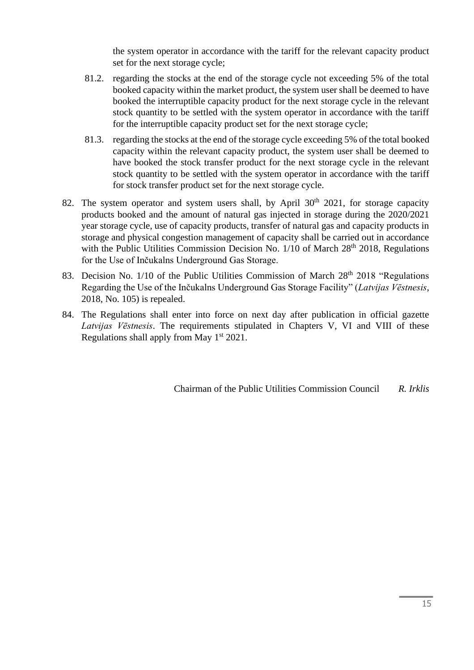the system operator in accordance with the tariff for the relevant capacity product set for the next storage cycle;

- 81.2. regarding the stocks at the end of the storage cycle not exceeding 5% of the total booked capacity within the market product, the system user shall be deemed to have booked the interruptible capacity product for the next storage cycle in the relevant stock quantity to be settled with the system operator in accordance with the tariff for the interruptible capacity product set for the next storage cycle;
- 81.3. regarding the stocks at the end of the storage cycle exceeding 5% of the total booked capacity within the relevant capacity product, the system user shall be deemed to have booked the stock transfer product for the next storage cycle in the relevant stock quantity to be settled with the system operator in accordance with the tariff for stock transfer product set for the next storage cycle.
- 82. The system operator and system users shall, by April  $30<sup>th</sup>$  2021, for storage capacity products booked and the amount of natural gas injected in storage during the 2020/2021 year storage cycle, use of capacity products, transfer of natural gas and capacity products in storage and physical congestion management of capacity shall be carried out in accordance with the Public Utilities Commission Decision No. 1/10 of March 28<sup>th</sup> 2018, Regulations for the Use of Inčukalns Underground Gas Storage.
- 83. Decision No. 1/10 of the Public Utilities Commission of March 28<sup>th</sup> 2018 "Regulations Regarding the Use of the Inčukalns Underground Gas Storage Facility" (*Latvijas Vēstnesis*, 2018, No. 105) is repealed.
- 84. The Regulations shall enter into force on next day after publication in official gazette *Latvijas Vēstnesis*. The requirements stipulated in Chapters V, VI and VIII of these Regulations shall apply from May  $1<sup>st</sup> 2021$ .

Chairman of the Public Utilities Commission Council *R. Irklis*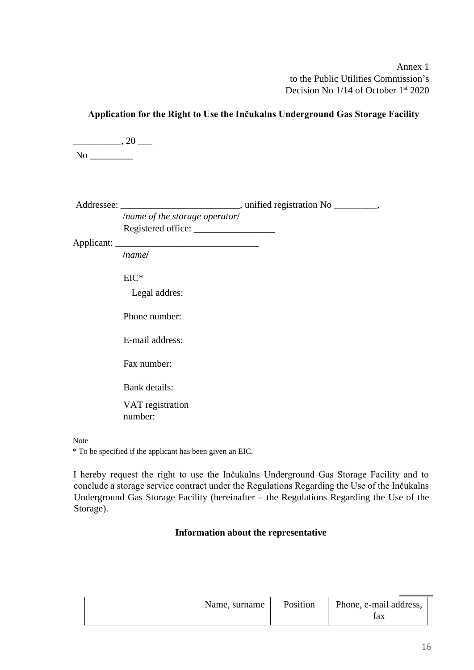Annex 1 to the Public Utilities Commission's Decision No 1/14 of October 1<sup>st</sup> 2020

| $\frac{1}{\sqrt{2}}$ , 20 |                                |                                                                                  |
|---------------------------|--------------------------------|----------------------------------------------------------------------------------|
|                           |                                |                                                                                  |
|                           |                                | Addressee: ________________________________, unified registration No __________, |
|                           | /name of the storage operator/ |                                                                                  |
|                           | <i>Inamel</i>                  |                                                                                  |
|                           | $EIC^*$                        |                                                                                  |
|                           | Legal addres:<br>Phone number: |                                                                                  |
|                           | E-mail address:                |                                                                                  |
|                           | Fax number:                    |                                                                                  |
|                           | Bank details:                  |                                                                                  |
|                           | VAT registration<br>number:    |                                                                                  |
| Note                      |                                |                                                                                  |

**Application for the Right to Use the Inčukalns Underground Gas Storage Facility** 

\* To be specified if the applicant has been given an EIC.

I hereby request the right to use the Inčukalns Underground Gas Storage Facility and to conclude a storage service contract under the Regulations Regarding the Use of the Inčukalns Underground Gas Storage Facility (hereinafter – the Regulations Regarding the Use of the Storage).

### **Information about the representative**

| Name, surname | Position | Phone, e-mail address, |
|---------------|----------|------------------------|
|               |          | tax                    |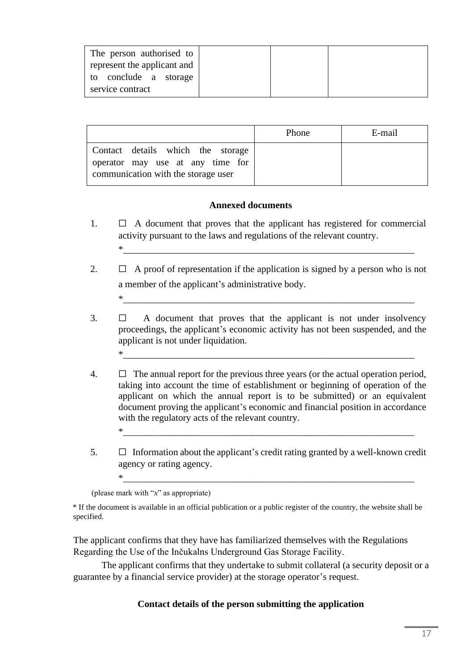| The person authorised to    |  |  |
|-----------------------------|--|--|
| represent the applicant and |  |  |
| to conclude a storage       |  |  |
| service contract            |  |  |

|                                                                                                              | Phone | E-mail |
|--------------------------------------------------------------------------------------------------------------|-------|--------|
| Contact details which the storage<br>operator may use at any time for<br>communication with the storage user |       |        |

### **Annexed documents**

- 1.  $\Box$  A document that proves that the applicant has registered for commercial activity pursuant to the laws and regulations of the relevant country.  $*\frac{1}{\sqrt{2}}$
- 2.  $\Box$  A proof of representation if the application is signed by a person who is not a member of the applicant's administrative body.  $*\frac{1}{\sqrt{2}}$
- $3. \Box$  A document that proves that the applicant is not under insolvency proceedings, the applicant's economic activity has not been suspended, and the applicant is not under liquidation.  $*\frac{1}{\sqrt{2}}$
- 4.  $\Box$  The annual report for the previous three years (or the actual operation period, taking into account the time of establishment or beginning of operation of the applicant on which the annual report is to be submitted) or an equivalent document proving the applicant's economic and financial position in accordance with the regulatory acts of the relevant country.
- $5. \Box$  Information about the applicant's credit rating granted by a well-known credit agency or rating agency.

 $*\frac{1}{\sqrt{2}}$ 

 $*_{\begin{array}{l} - \end{array}}$ 

(please mark with "*x*" as appropriate)

The applicant confirms that they have has familiarized themselves with the Regulations Regarding the Use of the Inčukalns Underground Gas Storage Facility.

The applicant confirms that they undertake to submit collateral (a security deposit or a guarantee by a financial service provider) at the storage operator's request.

#### **Contact details of the person submitting the application**

<sup>\*</sup> If the document is available in an official publication or a public register of the country, the website shall be specified.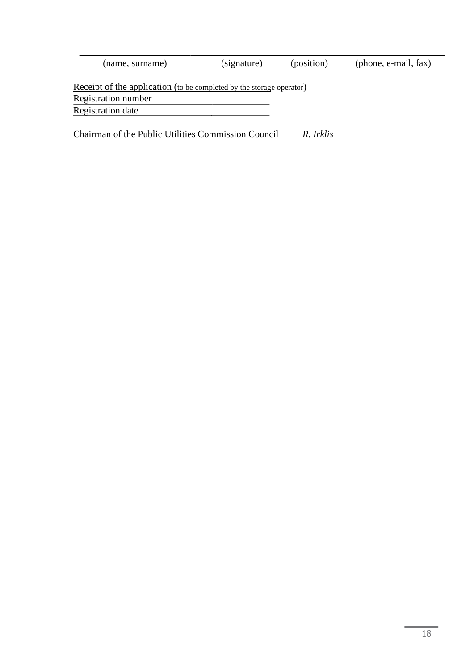| (name, surname)                                                      | (signature) | (position) | (phone, e-mail, fax) |
|----------------------------------------------------------------------|-------------|------------|----------------------|
| Receipt of the application (to be completed by the storage operator) |             |            |                      |
| Registration number                                                  |             |            |                      |
| Registration date                                                    |             |            |                      |
|                                                                      |             |            |                      |
| Chairman of the Public Utilities Commission Council                  |             | R Irklis   |                      |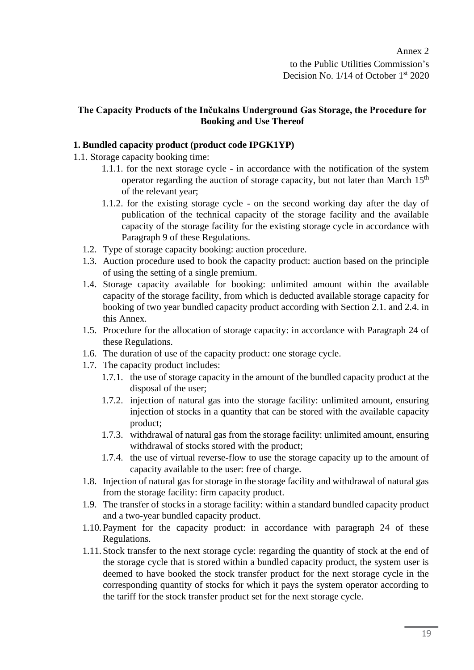### **The Capacity Products of the Inčukalns Underground Gas Storage, the Procedure for Booking and Use Thereof**

## **1. Bundled capacity product (product code IPGK1YP)**

- 1.1. Storage capacity booking time:
	- 1.1.1. for the next storage cycle in accordance with the notification of the system operator regarding the auction of storage capacity, but not later than March  $15<sup>th</sup>$ of the relevant year;
	- 1.1.2. for the existing storage cycle on the second working day after the day of publication of the technical capacity of the storage facility and the available capacity of the storage facility for the existing storage cycle in accordance with Paragraph 9 of these Regulations.
	- 1.2. Type of storage capacity booking: auction procedure.
	- 1.3. Auction procedure used to book the capacity product: auction based on the principle of using the setting of a single premium.
	- 1.4. Storage capacity available for booking: unlimited amount within the available capacity of the storage facility, from which is deducted available storage capacity for booking of two year bundled capacity product according with Section 2.1. and 2.4. in this Annex.
	- 1.5. Procedure for the allocation of storage capacity: in accordance with Paragraph 24 of these Regulations.
	- 1.6. The duration of use of the capacity product: one storage cycle.
	- 1.7. The capacity product includes:
		- 1.7.1. the use of storage capacity in the amount of the bundled capacity product at the disposal of the user;
		- 1.7.2. injection of natural gas into the storage facility: unlimited amount, ensuring injection of stocks in a quantity that can be stored with the available capacity product;
		- 1.7.3. withdrawal of natural gas from the storage facility: unlimited amount, ensuring withdrawal of stocks stored with the product;
		- 1.7.4. the use of virtual reverse-flow to use the storage capacity up to the amount of capacity available to the user: free of charge.
	- 1.8. Injection of natural gas for storage in the storage facility and withdrawal of natural gas from the storage facility: firm capacity product.
	- 1.9. The transfer of stocks in a storage facility: within a standard bundled capacity product and a two-year bundled capacity product.
	- 1.10. Payment for the capacity product: in accordance with paragraph 24 of these Regulations.
	- 1.11. Stock transfer to the next storage cycle: regarding the quantity of stock at the end of the storage cycle that is stored within a bundled capacity product, the system user is deemed to have booked the stock transfer product for the next storage cycle in the corresponding quantity of stocks for which it pays the system operator according to the tariff for the stock transfer product set for the next storage cycle.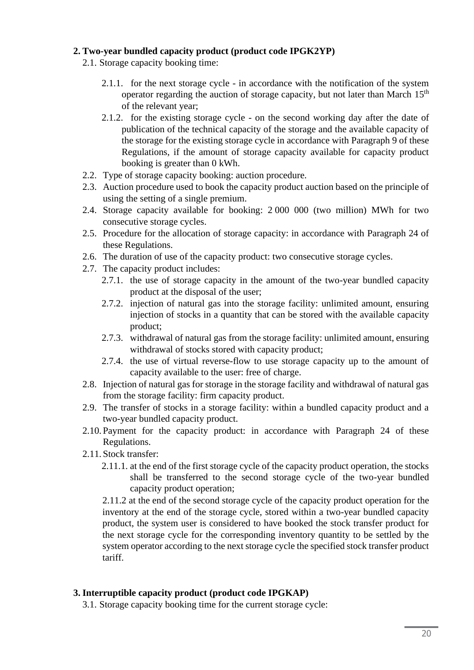#### **2. Two-year bundled capacity product (product code IPGK2YP)**

- 2.1. Storage capacity booking time:
	- 2.1.1. for the next storage cycle in accordance with the notification of the system operator regarding the auction of storage capacity, but not later than March  $15<sup>th</sup>$ of the relevant year;
	- 2.1.2. for the existing storage cycle on the second working day after the date of publication of the technical capacity of the storage and the available capacity of the storage for the existing storage cycle in accordance with Paragraph 9 of these Regulations, if the amount of storage capacity available for capacity product booking is greater than 0 kWh.
- 2.2. Type of storage capacity booking: auction procedure.
- 2.3. Auction procedure used to book the capacity product auction based on the principle of using the setting of a single premium.
- 2.4. Storage capacity available for booking: 2 000 000 (two million) MWh for two consecutive storage cycles.
- 2.5. Procedure for the allocation of storage capacity: in accordance with Paragraph 24 of these Regulations.
- 2.6. The duration of use of the capacity product: two consecutive storage cycles.
- 2.7. The capacity product includes:
	- 2.7.1. the use of storage capacity in the amount of the two-year bundled capacity product at the disposal of the user;
	- 2.7.2. injection of natural gas into the storage facility: unlimited amount, ensuring injection of stocks in a quantity that can be stored with the available capacity product;
	- 2.7.3. withdrawal of natural gas from the storage facility: unlimited amount, ensuring withdrawal of stocks stored with capacity product;
	- 2.7.4. the use of virtual reverse-flow to use storage capacity up to the amount of capacity available to the user: free of charge.
- 2.8. Injection of natural gas for storage in the storage facility and withdrawal of natural gas from the storage facility: firm capacity product.
- 2.9. The transfer of stocks in a storage facility: within a bundled capacity product and a two-year bundled capacity product.
- 2.10. Payment for the capacity product: in accordance with Paragraph 24 of these Regulations.
- 2.11. Stock transfer:
	- 2.11.1. at the end of the first storage cycle of the capacity product operation, the stocks shall be transferred to the second storage cycle of the two-year bundled capacity product operation;

2.11.2 at the end of the second storage cycle of the capacity product operation for the inventory at the end of the storage cycle, stored within a two-year bundled capacity product, the system user is considered to have booked the stock transfer product for the next storage cycle for the corresponding inventory quantity to be settled by the system operator according to the next storage cycle the specified stock transfer product tariff.

### **3. Interruptible capacity product (product code IPGKAP)**

3.1. Storage capacity booking time for the current storage cycle: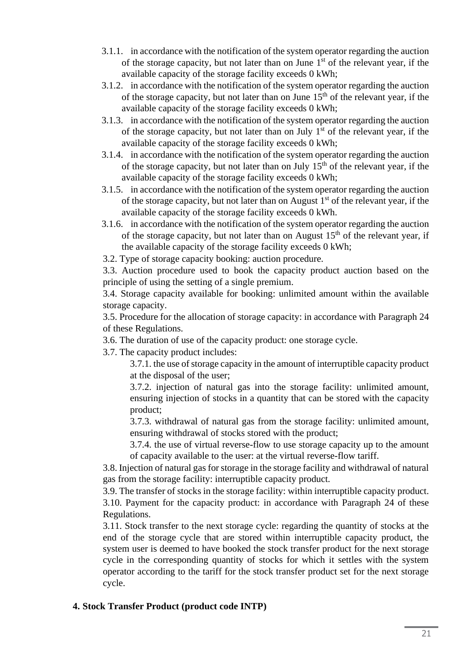- 3.1.1. in accordance with the notification of the system operator regarding the auction of the storage capacity, but not later than on June  $1<sup>st</sup>$  of the relevant year, if the available capacity of the storage facility exceeds 0 kWh;
- 3.1.2. in accordance with the notification of the system operator regarding the auction of the storage capacity, but not later than on June  $15<sup>th</sup>$  of the relevant year, if the available capacity of the storage facility exceeds 0 kWh;
- 3.1.3. in accordance with the notification of the system operator regarding the auction of the storage capacity, but not later than on July  $1<sup>st</sup>$  of the relevant year, if the available capacity of the storage facility exceeds 0 kWh;
- 3.1.4. in accordance with the notification of the system operator regarding the auction of the storage capacity, but not later than on July  $15<sup>th</sup>$  of the relevant year, if the available capacity of the storage facility exceeds 0 kWh;
- 3.1.5. in accordance with the notification of the system operator regarding the auction of the storage capacity, but not later than on August  $1<sup>st</sup>$  of the relevant year, if the available capacity of the storage facility exceeds 0 kWh.
- 3.1.6. in accordance with the notification of the system operator regarding the auction of the storage capacity, but not later than on August  $15<sup>th</sup>$  of the relevant year, if the available capacity of the storage facility exceeds 0 kWh;

3.2. Type of storage capacity booking: auction procedure.

3.3. Auction procedure used to book the capacity product auction based on the principle of using the setting of a single premium.

3.4. Storage capacity available for booking: unlimited amount within the available storage capacity.

3.5. Procedure for the allocation of storage capacity: in accordance with Paragraph 24 of these Regulations.

3.6. The duration of use of the capacity product: one storage cycle.

3.7. The capacity product includes:

3.7.1. the use of storage capacity in the amount of interruptible capacity product at the disposal of the user;

3.7.2. injection of natural gas into the storage facility: unlimited amount, ensuring injection of stocks in a quantity that can be stored with the capacity product;

3.7.3. withdrawal of natural gas from the storage facility: unlimited amount, ensuring withdrawal of stocks stored with the product;

3.7.4. the use of virtual reverse-flow to use storage capacity up to the amount of capacity available to the user: at the virtual reverse-flow tariff.

3.8. Injection of natural gas for storage in the storage facility and withdrawal of natural gas from the storage facility: interruptible capacity product.

3.9. The transfer of stocks in the storage facility: within interruptible capacity product. 3.10. Payment for the capacity product: in accordance with Paragraph 24 of these Regulations.

3.11. Stock transfer to the next storage cycle: regarding the quantity of stocks at the end of the storage cycle that are stored within interruptible capacity product, the system user is deemed to have booked the stock transfer product for the next storage cycle in the corresponding quantity of stocks for which it settles with the system operator according to the tariff for the stock transfer product set for the next storage cycle.

# **4. Stock Transfer Product (product code INTP)**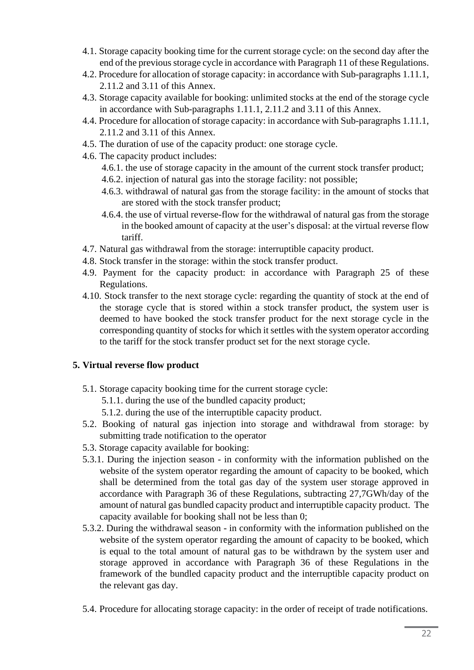- 4.1. Storage capacity booking time for the current storage cycle: on the second day after the end of the previous storage cycle in accordance with Paragraph 11 of these Regulations.
- 4.2. Procedure for allocation of storage capacity: in accordance with Sub-paragraphs 1.11.1, 2.11.2 and 3.11 of this Annex.
- 4.3. Storage capacity available for booking: unlimited stocks at the end of the storage cycle in accordance with Sub-paragraphs 1.11.1, 2.11.2 and 3.11 of this Annex.
- 4.4. Procedure for allocation of storage capacity: in accordance with Sub-paragraphs 1.11.1, 2.11.2 and 3.11 of this Annex.
- 4.5. The duration of use of the capacity product: one storage cycle.
- 4.6. The capacity product includes:
	- 4.6.1. the use of storage capacity in the amount of the current stock transfer product;
	- 4.6.2. injection of natural gas into the storage facility: not possible;
	- 4.6.3. withdrawal of natural gas from the storage facility: in the amount of stocks that are stored with the stock transfer product;
	- 4.6.4. the use of virtual reverse-flow for the withdrawal of natural gas from the storage in the booked amount of capacity at the user's disposal: at the virtual reverse flow tariff.
- 4.7. Natural gas withdrawal from the storage: interruptible capacity product.
- 4.8. Stock transfer in the storage: within the stock transfer product.
- 4.9. Payment for the capacity product: in accordance with Paragraph 25 of these Regulations.
- 4.10. Stock transfer to the next storage cycle: regarding the quantity of stock at the end of the storage cycle that is stored within a stock transfer product, the system user is deemed to have booked the stock transfer product for the next storage cycle in the corresponding quantity of stocks for which it settles with the system operator according to the tariff for the stock transfer product set for the next storage cycle.

# **5. Virtual reverse flow product**

5.1. Storage capacity booking time for the current storage cycle:

5.1.1. during the use of the bundled capacity product;

- 5.1.2. during the use of the interruptible capacity product.
- 5.2. Booking of natural gas injection into storage and withdrawal from storage: by submitting trade notification to the operator
- 5.3. Storage capacity available for booking:
- 5.3.1. During the injection season in conformity with the information published on the website of the system operator regarding the amount of capacity to be booked, which shall be determined from the total gas day of the system user storage approved in accordance with Paragraph 36 of these Regulations, subtracting 27,7GWh/day of the amount of natural gas bundled capacity product and interruptible capacity product. The capacity available for booking shall not be less than 0;
- 5.3.2. During the withdrawal season in conformity with the information published on the website of the system operator regarding the amount of capacity to be booked, which is equal to the total amount of natural gas to be withdrawn by the system user and storage approved in accordance with Paragraph 36 of these Regulations in the framework of the bundled capacity product and the interruptible capacity product on the relevant gas day.
- 5.4. Procedure for allocating storage capacity: in the order of receipt of trade notifications.